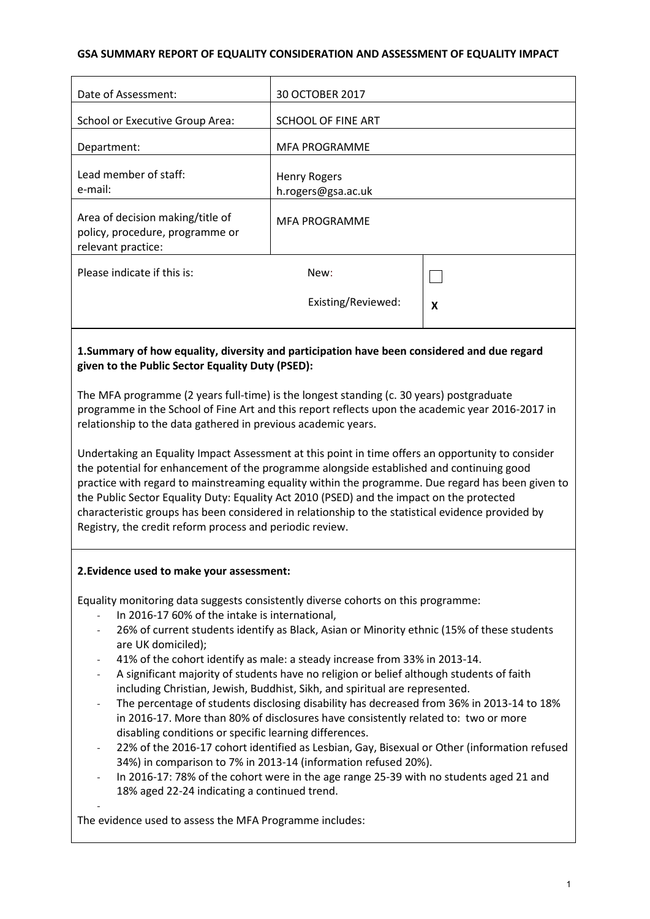#### **GSA SUMMARY REPORT OF EQUALITY CONSIDERATION AND ASSESSMENT OF EQUALITY IMPACT**

| Date of Assessment:                                                                                                                                                                                                                                                                                                                                                                                                                                                                                                                                              | 30 OCTOBER 2017                           |   |
|------------------------------------------------------------------------------------------------------------------------------------------------------------------------------------------------------------------------------------------------------------------------------------------------------------------------------------------------------------------------------------------------------------------------------------------------------------------------------------------------------------------------------------------------------------------|-------------------------------------------|---|
| <b>School or Executive Group Area:</b>                                                                                                                                                                                                                                                                                                                                                                                                                                                                                                                           | SCHOOL OF FINE ART                        |   |
| Department:                                                                                                                                                                                                                                                                                                                                                                                                                                                                                                                                                      | <b>MFA PROGRAMME</b>                      |   |
| Lead member of staff:<br>e-mail:                                                                                                                                                                                                                                                                                                                                                                                                                                                                                                                                 | <b>Henry Rogers</b><br>h.rogers@gsa.ac.uk |   |
| Area of decision making/title of<br>policy, procedure, programme or<br>relevant practice:                                                                                                                                                                                                                                                                                                                                                                                                                                                                        | <b>MFA PROGRAMME</b>                      |   |
| Please indicate if this is:                                                                                                                                                                                                                                                                                                                                                                                                                                                                                                                                      | New:                                      |   |
|                                                                                                                                                                                                                                                                                                                                                                                                                                                                                                                                                                  | Existing/Reviewed:                        | X |
| 1. Summary of how equality, diversity and participation have been considered and due regard<br>given to the Public Sector Equality Duty (PSED):                                                                                                                                                                                                                                                                                                                                                                                                                  |                                           |   |
| The MFA programme (2 years full-time) is the longest standing (c. 30 years) postgraduate<br>programme in the School of Fine Art and this report reflects upon the academic year 2016-2017 in<br>relationship to the data gathered in previous academic years.                                                                                                                                                                                                                                                                                                    |                                           |   |
| Undertaking an Equality Impact Assessment at this point in time offers an opportunity to consider<br>the potential for enhancement of the programme alongside established and continuing good<br>practice with regard to mainstreaming equality within the programme. Due regard has been given to<br>the Public Sector Equality Duty: Equality Act 2010 (PSED) and the impact on the protected<br>characteristic groups has been considered in relationship to the statistical evidence provided by<br>Registry, the credit reform process and periodic review. |                                           |   |
| 2. Evidence used to make your assessment:                                                                                                                                                                                                                                                                                                                                                                                                                                                                                                                        |                                           |   |
| Equality monitoring data suggests consistently diverse cohorts on this programme:                                                                                                                                                                                                                                                                                                                                                                                                                                                                                |                                           |   |
| In 2016-17 60% of the intake is international,<br>26% of current students identify as Black, Asian or Minority ethnic (15% of these students<br>$\qquad \qquad -$                                                                                                                                                                                                                                                                                                                                                                                                |                                           |   |
| are UK domiciled);<br>41% of the cohort identify as male: a steady increase from 33% in 2013-14.                                                                                                                                                                                                                                                                                                                                                                                                                                                                 |                                           |   |
| A significant majority of students have no religion or belief although students of faith                                                                                                                                                                                                                                                                                                                                                                                                                                                                         |                                           |   |

- including Christian, Jewish, Buddhist, Sikh, and spiritual are represented.
- The percentage of students disclosing disability has decreased from 36% in 2013-14 to 18% in 2016-17. More than 80% of disclosures have consistently related to: two or more disabling conditions or specific learning differences.
- 22% of the 2016-17 cohort identified as Lesbian, Gay, Bisexual or Other (information refused 34%) in comparison to 7% in 2013-14 (information refused 20%).
- In 2016-17: 78% of the cohort were in the age range 25-39 with no students aged 21 and 18% aged 22-24 indicating a continued trend.

The evidence used to assess the MFA Programme includes:

-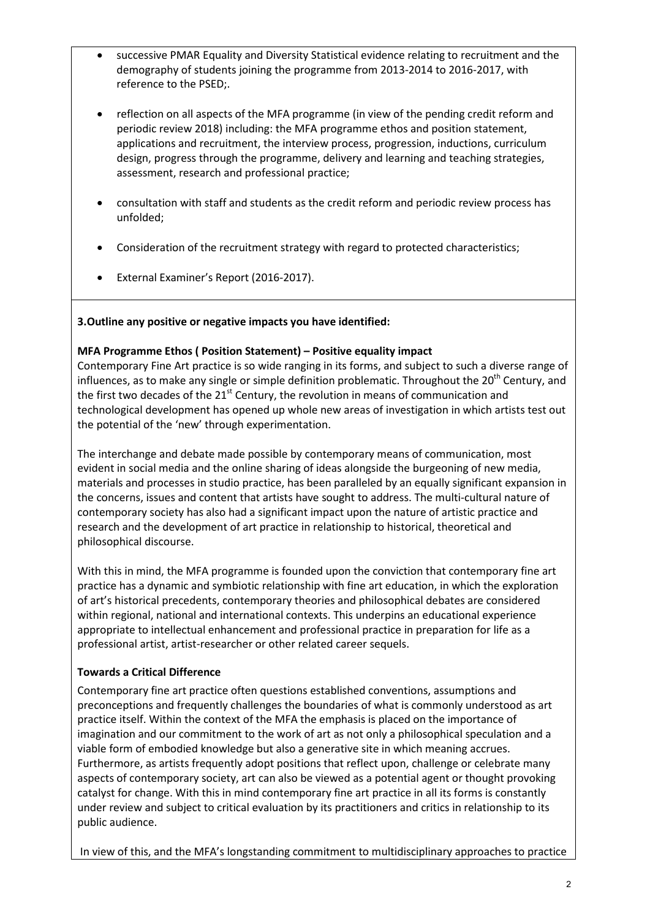- successive PMAR Equality and Diversity Statistical evidence relating to recruitment and the demography of students joining the programme from 2013-2014 to 2016-2017, with reference to the PSED;.
- reflection on all aspects of the MFA programme (in view of the pending credit reform and periodic review 2018) including: the MFA programme ethos and position statement, applications and recruitment, the interview process, progression, inductions, curriculum design, progress through the programme, delivery and learning and teaching strategies, assessment, research and professional practice;
- consultation with staff and students as the credit reform and periodic review process has unfolded;
- Consideration of the recruitment strategy with regard to protected characteristics;
- External Examiner's Report (2016-2017).

#### **3.Outline any positive or negative impacts you have identified:**

#### **MFA Programme Ethos ( Position Statement) – Positive equality impact**

Contemporary Fine Art practice is so wide ranging in its forms, and subject to such a diverse range of influences, as to make any single or simple definition problematic. Throughout the  $20<sup>th</sup>$  Century, and the first two decades of the  $21<sup>st</sup>$  Century, the revolution in means of communication and technological development has opened up whole new areas of investigation in which artists test out the potential of the 'new' through experimentation.

The interchange and debate made possible by contemporary means of communication, most evident in social media and the online sharing of ideas alongside the burgeoning of new media, materials and processes in studio practice, has been paralleled by an equally significant expansion in the concerns, issues and content that artists have sought to address. The multi-cultural nature of contemporary society has also had a significant impact upon the nature of artistic practice and research and the development of art practice in relationship to historical, theoretical and philosophical discourse.

With this in mind, the MFA programme is founded upon the conviction that contemporary fine art practice has a dynamic and symbiotic relationship with fine art education, in which the exploration of art's historical precedents, contemporary theories and philosophical debates are considered within regional, national and international contexts. This underpins an educational experience appropriate to intellectual enhancement and professional practice in preparation for life as a professional artist, artist-researcher or other related career sequels.

#### **Towards a Critical Difference**

Contemporary fine art practice often questions established conventions, assumptions and preconceptions and frequently challenges the boundaries of what is commonly understood as art practice itself. Within the context of the MFA the emphasis is placed on the importance of imagination and our commitment to the work of art as not only a philosophical speculation and a viable form of embodied knowledge but also a generative site in which meaning accrues. Furthermore, as artists frequently adopt positions that reflect upon, challenge or celebrate many aspects of contemporary society, art can also be viewed as a potential agent or thought provoking catalyst for change. With this in mind contemporary fine art practice in all its forms is constantly under review and subject to critical evaluation by its practitioners and critics in relationship to its public audience.

In view of this, and the MFA's longstanding commitment to multidisciplinary approaches to practice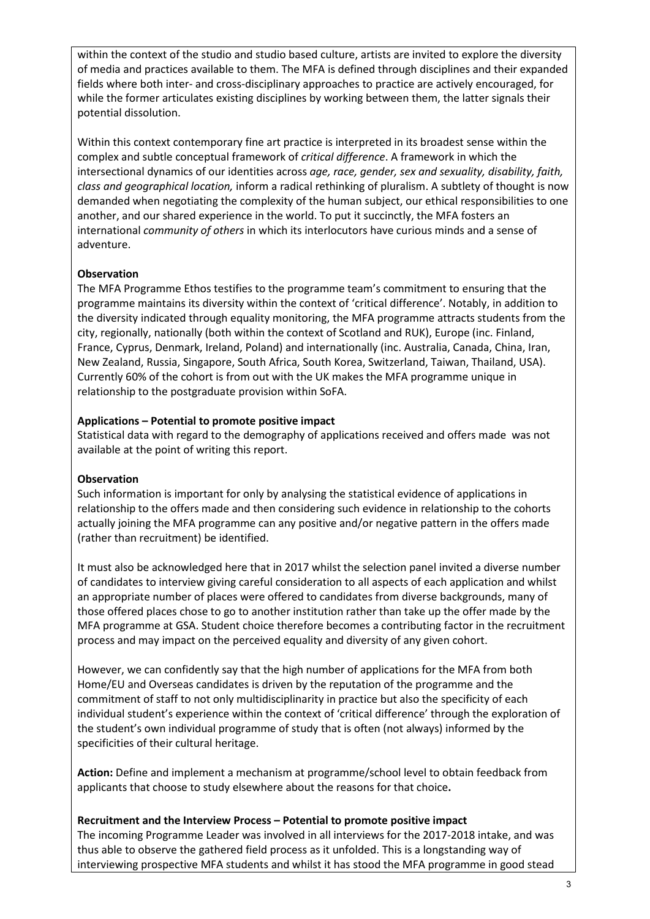within the context of the studio and studio based culture, artists are invited to explore the diversity of media and practices available to them. The MFA is defined through disciplines and their expanded fields where both inter- and cross-disciplinary approaches to practice are actively encouraged, for while the former articulates existing disciplines by working between them, the latter signals their potential dissolution.

Within this context contemporary fine art practice is interpreted in its broadest sense within the complex and subtle conceptual framework of *critical difference*. A framework in which the intersectional dynamics of our identities across *age, race, gender, sex and sexuality, disability, faith, class and geographical location,* inform a radical rethinking of pluralism. A subtlety of thought is now demanded when negotiating the complexity of the human subject, our ethical responsibilities to one another, and our shared experience in the world. To put it succinctly, the MFA fosters an international *community of others* in which its interlocutors have curious minds and a sense of adventure.

## **Observation**

The MFA Programme Ethos testifies to the programme team's commitment to ensuring that the programme maintains its diversity within the context of 'critical difference'. Notably, in addition to the diversity indicated through equality monitoring, the MFA programme attracts students from the city, regionally, nationally (both within the context of Scotland and RUK), Europe (inc. Finland, France, Cyprus, Denmark, Ireland, Poland) and internationally (inc. Australia, Canada, China, Iran, New Zealand, Russia, Singapore, South Africa, South Korea, Switzerland, Taiwan, Thailand, USA). Currently 60% of the cohort is from out with the UK makes the MFA programme unique in relationship to the postgraduate provision within SoFA.

#### **Applications – Potential to promote positive impact**

Statistical data with regard to the demography of applications received and offers made was not available at the point of writing this report.

#### **Observation**

Such information is important for only by analysing the statistical evidence of applications in relationship to the offers made and then considering such evidence in relationship to the cohorts actually joining the MFA programme can any positive and/or negative pattern in the offers made (rather than recruitment) be identified.

It must also be acknowledged here that in 2017 whilst the selection panel invited a diverse number of candidates to interview giving careful consideration to all aspects of each application and whilst an appropriate number of places were offered to candidates from diverse backgrounds, many of those offered places chose to go to another institution rather than take up the offer made by the MFA programme at GSA. Student choice therefore becomes a contributing factor in the recruitment process and may impact on the perceived equality and diversity of any given cohort.

However, we can confidently say that the high number of applications for the MFA from both Home/EU and Overseas candidates is driven by the reputation of the programme and the commitment of staff to not only multidisciplinarity in practice but also the specificity of each individual student's experience within the context of 'critical difference' through the exploration of the student's own individual programme of study that is often (not always) informed by the specificities of their cultural heritage.

**Action:** Define and implement a mechanism at programme/school level to obtain feedback from applicants that choose to study elsewhere about the reasons for that choice**.** 

#### **Recruitment and the Interview Process – Potential to promote positive impact**

The incoming Programme Leader was involved in all interviews for the 2017-2018 intake, and was thus able to observe the gathered field process as it unfolded. This is a longstanding way of interviewing prospective MFA students and whilst it has stood the MFA programme in good stead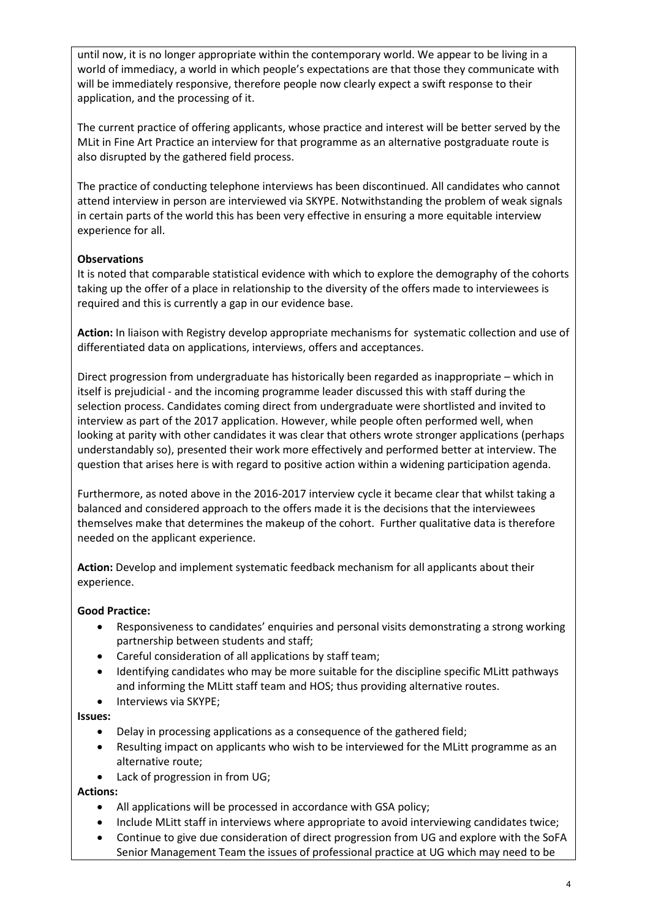until now, it is no longer appropriate within the contemporary world. We appear to be living in a world of immediacy, a world in which people's expectations are that those they communicate with will be immediately responsive, therefore people now clearly expect a swift response to their application, and the processing of it.

The current practice of offering applicants, whose practice and interest will be better served by the MLit in Fine Art Practice an interview for that programme as an alternative postgraduate route is also disrupted by the gathered field process.

The practice of conducting telephone interviews has been discontinued. All candidates who cannot attend interview in person are interviewed via SKYPE. Notwithstanding the problem of weak signals in certain parts of the world this has been very effective in ensuring a more equitable interview experience for all.

## **Observations**

It is noted that comparable statistical evidence with which to explore the demography of the cohorts taking up the offer of a place in relationship to the diversity of the offers made to interviewees is required and this is currently a gap in our evidence base.

**Action:** In liaison with Registry develop appropriate mechanisms for systematic collection and use of differentiated data on applications, interviews, offers and acceptances.

Direct progression from undergraduate has historically been regarded as inappropriate – which in itself is prejudicial - and the incoming programme leader discussed this with staff during the selection process. Candidates coming direct from undergraduate were shortlisted and invited to interview as part of the 2017 application. However, while people often performed well, when looking at parity with other candidates it was clear that others wrote stronger applications (perhaps understandably so), presented their work more effectively and performed better at interview. The question that arises here is with regard to positive action within a widening participation agenda.

Furthermore, as noted above in the 2016-2017 interview cycle it became clear that whilst taking a balanced and considered approach to the offers made it is the decisions that the interviewees themselves make that determines the makeup of the cohort. Further qualitative data is therefore needed on the applicant experience.

**Action:** Develop and implement systematic feedback mechanism for all applicants about their experience.

#### **Good Practice:**

- Responsiveness to candidates' enquiries and personal visits demonstrating a strong working partnership between students and staff;
- Careful consideration of all applications by staff team;
- Identifying candidates who may be more suitable for the discipline specific MLitt pathways and informing the MLitt staff team and HOS; thus providing alternative routes.
- Interviews via SKYPE:

#### **Issues:**

- Delay in processing applications as a consequence of the gathered field;
- Resulting impact on applicants who wish to be interviewed for the MLitt programme as an alternative route;
- Lack of progression in from UG;

**Actions:**

- All applications will be processed in accordance with GSA policy;
- Include MLitt staff in interviews where appropriate to avoid interviewing candidates twice;
- Continue to give due consideration of direct progression from UG and explore with the SoFA Senior Management Team the issues of professional practice at UG which may need to be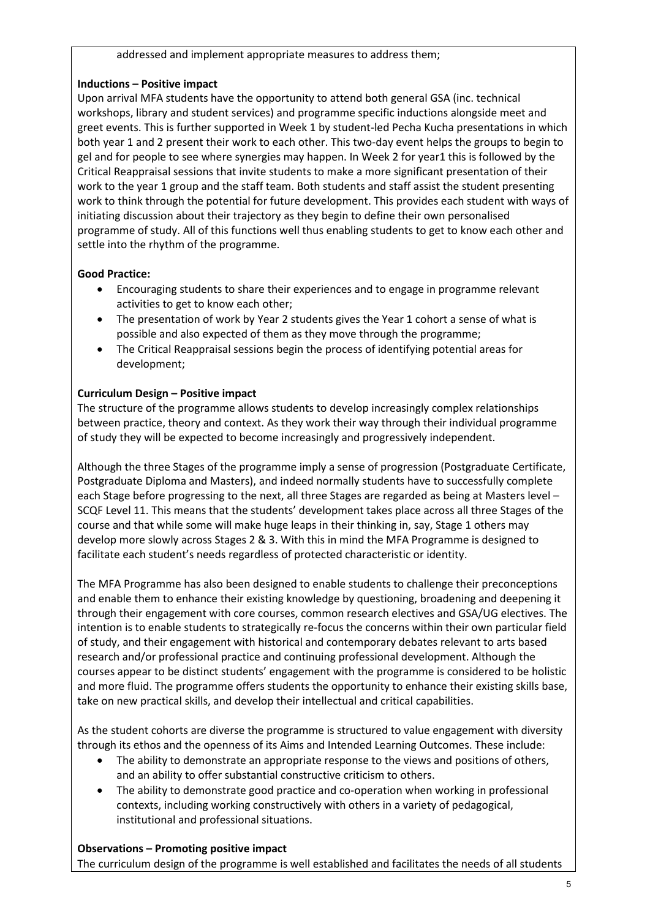#### addressed and implement appropriate measures to address them;

#### **Inductions – Positive impact**

Upon arrival MFA students have the opportunity to attend both general GSA (inc. technical workshops, library and student services) and programme specific inductions alongside meet and greet events. This is further supported in Week 1 by student-led Pecha Kucha presentations in which both year 1 and 2 present their work to each other. This two-day event helps the groups to begin to gel and for people to see where synergies may happen. In Week 2 for year1 this is followed by the Critical Reappraisal sessions that invite students to make a more significant presentation of their work to the year 1 group and the staff team. Both students and staff assist the student presenting work to think through the potential for future development. This provides each student with ways of initiating discussion about their trajectory as they begin to define their own personalised programme of study. All of this functions well thus enabling students to get to know each other and settle into the rhythm of the programme.

#### **Good Practice:**

- Encouraging students to share their experiences and to engage in programme relevant activities to get to know each other;
- The presentation of work by Year 2 students gives the Year 1 cohort a sense of what is possible and also expected of them as they move through the programme;
- The Critical Reappraisal sessions begin the process of identifying potential areas for development;

#### **Curriculum Design – Positive impact**

The structure of the programme allows students to develop increasingly complex relationships between practice, theory and context. As they work their way through their individual programme of study they will be expected to become increasingly and progressively independent.

Although the three Stages of the programme imply a sense of progression (Postgraduate Certificate, Postgraduate Diploma and Masters), and indeed normally students have to successfully complete each Stage before progressing to the next, all three Stages are regarded as being at Masters level – SCQF Level 11. This means that the students' development takes place across all three Stages of the course and that while some will make huge leaps in their thinking in, say, Stage 1 others may develop more slowly across Stages 2 & 3. With this in mind the MFA Programme is designed to facilitate each student's needs regardless of protected characteristic or identity.

The MFA Programme has also been designed to enable students to challenge their preconceptions and enable them to enhance their existing knowledge by questioning, broadening and deepening it through their engagement with core courses, common research electives and GSA/UG electives. The intention is to enable students to strategically re-focus the concerns within their own particular field of study, and their engagement with historical and contemporary debates relevant to arts based research and/or professional practice and continuing professional development. Although the courses appear to be distinct students' engagement with the programme is considered to be holistic and more fluid. The programme offers students the opportunity to enhance their existing skills base, take on new practical skills, and develop their intellectual and critical capabilities.

As the student cohorts are diverse the programme is structured to value engagement with diversity through its ethos and the openness of its Aims and Intended Learning Outcomes. These include:

- The ability to demonstrate an appropriate response to the views and positions of others, and an ability to offer substantial constructive criticism to others.
- The ability to demonstrate good practice and co-operation when working in professional contexts, including working constructively with others in a variety of pedagogical, institutional and professional situations.

#### **Observations – Promoting positive impact**

The curriculum design of the programme is well established and facilitates the needs of all students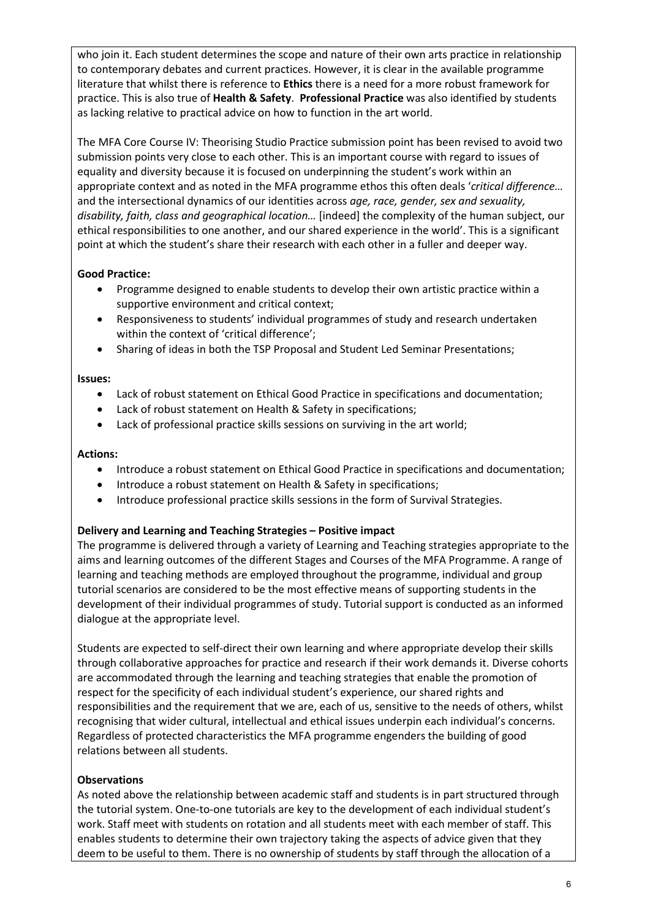who join it. Each student determines the scope and nature of their own arts practice in relationship to contemporary debates and current practices. However, it is clear in the available programme literature that whilst there is reference to **Ethics** there is a need for a more robust framework for practice. This is also true of **Health & Safety**. **Professional Practice** was also identified by students as lacking relative to practical advice on how to function in the art world.

The MFA Core Course IV: Theorising Studio Practice submission point has been revised to avoid two submission points very close to each other. This is an important course with regard to issues of equality and diversity because it is focused on underpinning the student's work within an appropriate context and as noted in the MFA programme ethos this often deals '*critical difference…* and the intersectional dynamics of our identities across *age, race, gender, sex and sexuality, disability, faith, class and geographical location…* [indeed] the complexity of the human subject, our ethical responsibilities to one another, and our shared experience in the world'. This is a significant point at which the student's share their research with each other in a fuller and deeper way.

#### **Good Practice:**

- Programme designed to enable students to develop their own artistic practice within a supportive environment and critical context;
- Responsiveness to students' individual programmes of study and research undertaken within the context of 'critical difference';
- Sharing of ideas in both the TSP Proposal and Student Led Seminar Presentations;

#### **Issues:**

- Lack of robust statement on Ethical Good Practice in specifications and documentation;
- Lack of robust statement on Health & Safety in specifications;
- Lack of professional practice skills sessions on surviving in the art world;

#### **Actions:**

- Introduce a robust statement on Ethical Good Practice in specifications and documentation;
- Introduce a robust statement on Health & Safety in specifications;
- Introduce professional practice skills sessions in the form of Survival Strategies.

#### **Delivery and Learning and Teaching Strategies – Positive impact**

The programme is delivered through a variety of Learning and Teaching strategies appropriate to the aims and learning outcomes of the different Stages and Courses of the MFA Programme. A range of learning and teaching methods are employed throughout the programme, individual and group tutorial scenarios are considered to be the most effective means of supporting students in the development of their individual programmes of study. Tutorial support is conducted as an informed dialogue at the appropriate level.

Students are expected to self-direct their own learning and where appropriate develop their skills through collaborative approaches for practice and research if their work demands it. Diverse cohorts are accommodated through the learning and teaching strategies that enable the promotion of respect for the specificity of each individual student's experience, our shared rights and responsibilities and the requirement that we are, each of us, sensitive to the needs of others, whilst recognising that wider cultural, intellectual and ethical issues underpin each individual's concerns. Regardless of protected characteristics the MFA programme engenders the building of good relations between all students.

# **Observations**

As noted above the relationship between academic staff and students is in part structured through the tutorial system. One-to-one tutorials are key to the development of each individual student's work. Staff meet with students on rotation and all students meet with each member of staff. This enables students to determine their own trajectory taking the aspects of advice given that they deem to be useful to them. There is no ownership of students by staff through the allocation of a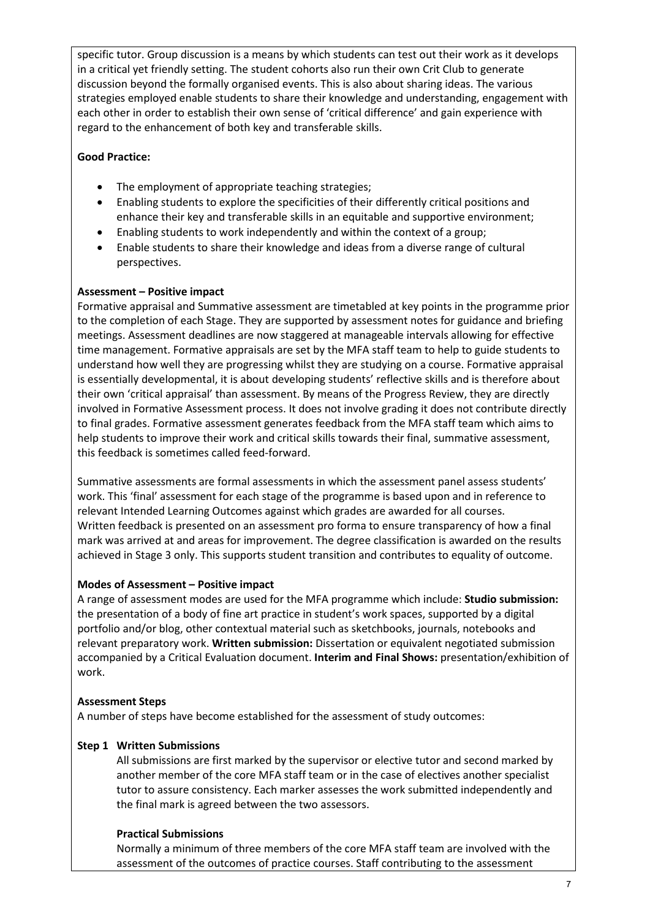specific tutor. Group discussion is a means by which students can test out their work as it develops in a critical yet friendly setting. The student cohorts also run their own Crit Club to generate discussion beyond the formally organised events. This is also about sharing ideas. The various strategies employed enable students to share their knowledge and understanding, engagement with each other in order to establish their own sense of 'critical difference' and gain experience with regard to the enhancement of both key and transferable skills.

#### **Good Practice:**

- The employment of appropriate teaching strategies;
- Enabling students to explore the specificities of their differently critical positions and enhance their key and transferable skills in an equitable and supportive environment;
- Enabling students to work independently and within the context of a group;
- Enable students to share their knowledge and ideas from a diverse range of cultural perspectives.

#### **Assessment – Positive impact**

Formative appraisal and Summative assessment are timetabled at key points in the programme prior to the completion of each Stage. They are supported by assessment notes for guidance and briefing meetings. Assessment deadlines are now staggered at manageable intervals allowing for effective time management. Formative appraisals are set by the MFA staff team to help to guide students to understand how well they are progressing whilst they are studying on a course. Formative appraisal is essentially developmental, it is about developing students' reflective skills and is therefore about their own 'critical appraisal' than assessment. By means of the Progress Review, they are directly involved in Formative Assessment process. It does not involve grading it does not contribute directly to final grades. Formative assessment generates feedback from the MFA staff team which aims to help students to improve their work and critical skills towards their final, summative assessment, this feedback is sometimes called feed-forward.

Summative assessments are formal assessments in which the assessment panel assess students' work. This 'final' assessment for each stage of the programme is based upon and in reference to relevant Intended Learning Outcomes against which grades are awarded for all courses. Written feedback is presented on an assessment pro forma to ensure transparency of how a final mark was arrived at and areas for improvement. The degree classification is awarded on the results achieved in Stage 3 only. This supports student transition and contributes to equality of outcome.

#### **Modes of Assessment – Positive impact**

A range of assessment modes are used for the MFA programme which include: **Studio submission:**  the presentation of a body of fine art practice in student's work spaces, supported by a digital portfolio and/or blog, other contextual material such as sketchbooks, journals, notebooks and relevant preparatory work. **Written submission:** Dissertation or equivalent negotiated submission accompanied by a Critical Evaluation document. **Interim and Final Shows:** presentation/exhibition of work.

#### **Assessment Steps**

A number of steps have become established for the assessment of study outcomes:

# **Step 1 Written Submissions**

All submissions are first marked by the supervisor or elective tutor and second marked by another member of the core MFA staff team or in the case of electives another specialist tutor to assure consistency. Each marker assesses the work submitted independently and the final mark is agreed between the two assessors.

#### **Practical Submissions**

Normally a minimum of three members of the core MFA staff team are involved with the assessment of the outcomes of practice courses. Staff contributing to the assessment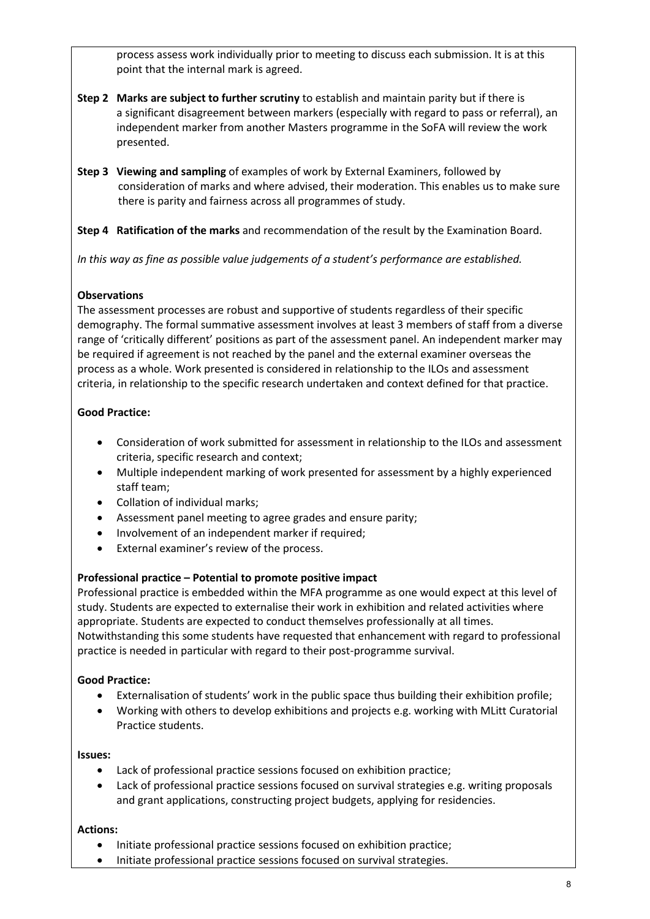process assess work individually prior to meeting to discuss each submission. It is at this point that the internal mark is agreed.

- **Step 2 Marks are subject to further scrutiny** to establish and maintain parity but if there is a significant disagreement between markers (especially with regard to pass or referral), an independent marker from another Masters programme in the SoFA will review the work presented.
- **Step 3 Viewing and sampling** of examples of work by External Examiners, followed by consideration of marks and where advised, their moderation. This enables us to make sure there is parity and fairness across all programmes of study.

**Step 4 Ratification of the marks** and recommendation of the result by the Examination Board.

*In this way as fine as possible value judgements of a student's performance are established.*

## **Observations**

The assessment processes are robust and supportive of students regardless of their specific demography. The formal summative assessment involves at least 3 members of staff from a diverse range of 'critically different' positions as part of the assessment panel. An independent marker may be required if agreement is not reached by the panel and the external examiner overseas the process as a whole. Work presented is considered in relationship to the ILOs and assessment criteria, in relationship to the specific research undertaken and context defined for that practice.

# **Good Practice:**

- Consideration of work submitted for assessment in relationship to the ILOs and assessment criteria, specific research and context;
- Multiple independent marking of work presented for assessment by a highly experienced staff team;
- Collation of individual marks;
- Assessment panel meeting to agree grades and ensure parity;
- Involvement of an independent marker if required;
- External examiner's review of the process.

#### **Professional practice – Potential to promote positive impact**

Professional practice is embedded within the MFA programme as one would expect at this level of study. Students are expected to externalise their work in exhibition and related activities where appropriate. Students are expected to conduct themselves professionally at all times. Notwithstanding this some students have requested that enhancement with regard to professional practice is needed in particular with regard to their post-programme survival.

#### **Good Practice:**

- Externalisation of students' work in the public space thus building their exhibition profile;
- Working with others to develop exhibitions and projects e.g. working with MLitt Curatorial Practice students.

#### **Issues:**

- Lack of professional practice sessions focused on exhibition practice;
- Lack of professional practice sessions focused on survival strategies e.g. writing proposals and grant applications, constructing project budgets, applying for residencies.

#### **Actions:**

- Initiate professional practice sessions focused on exhibition practice;
- Initiate professional practice sessions focused on survival strategies.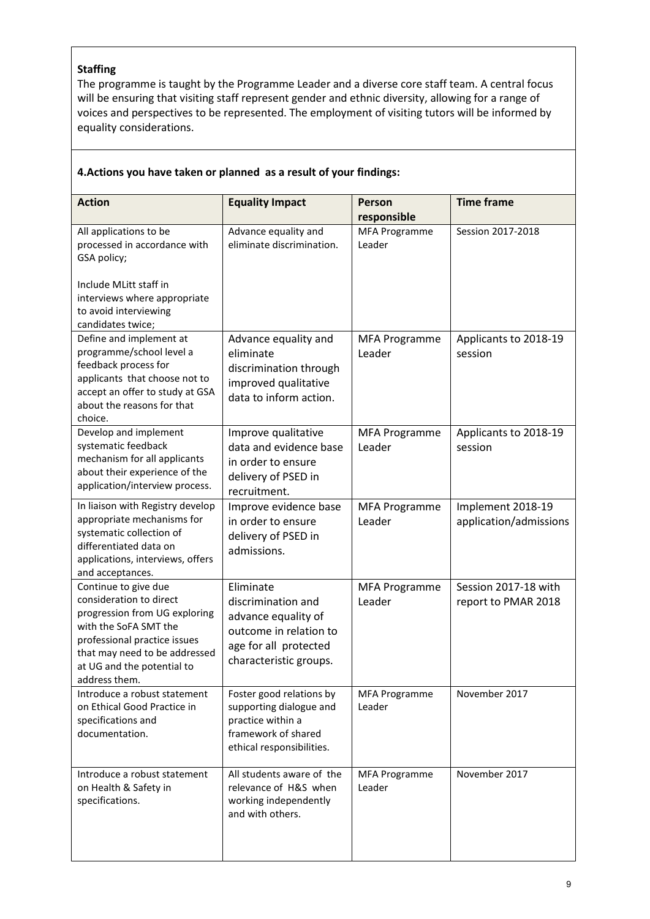#### **Staffing**

The programme is taught by the Programme Leader and a diverse core staff team. A central focus will be ensuring that visiting staff represent gender and ethnic diversity, allowing for a range of voices and perspectives to be represented. The employment of visiting tutors will be informed by equality considerations.

| <b>Action</b>                                                                                                                                                                                                             | <b>Equality Impact</b>                                                                                                              | Person<br>responsible          | <b>Time frame</b>                           |
|---------------------------------------------------------------------------------------------------------------------------------------------------------------------------------------------------------------------------|-------------------------------------------------------------------------------------------------------------------------------------|--------------------------------|---------------------------------------------|
| All applications to be<br>processed in accordance with<br>GSA policy;                                                                                                                                                     | Advance equality and<br>eliminate discrimination.                                                                                   | <b>MFA Programme</b><br>Leader | Session 2017-2018                           |
| Include MLitt staff in<br>interviews where appropriate<br>to avoid interviewing<br>candidates twice;                                                                                                                      |                                                                                                                                     |                                |                                             |
| Define and implement at<br>programme/school level a<br>feedback process for<br>applicants that choose not to<br>accept an offer to study at GSA<br>about the reasons for that<br>choice.                                  | Advance equality and<br>eliminate<br>discrimination through<br>improved qualitative<br>data to inform action.                       | <b>MFA Programme</b><br>Leader | Applicants to 2018-19<br>session            |
| Develop and implement<br>systematic feedback<br>mechanism for all applicants<br>about their experience of the<br>application/interview process.                                                                           | Improve qualitative<br>data and evidence base<br>in order to ensure<br>delivery of PSED in<br>recruitment.                          | <b>MFA Programme</b><br>Leader | Applicants to 2018-19<br>session            |
| In liaison with Registry develop<br>appropriate mechanisms for<br>systematic collection of<br>differentiated data on<br>applications, interviews, offers<br>and acceptances.                                              | Improve evidence base<br>in order to ensure<br>delivery of PSED in<br>admissions.                                                   | <b>MFA Programme</b><br>Leader | Implement 2018-19<br>application/admissions |
| Continue to give due<br>consideration to direct<br>progression from UG exploring<br>with the SoFA SMT the<br>professional practice issues<br>that may need to be addressed<br>at UG and the potential to<br>address them. | Eliminate<br>discrimination and<br>advance equality of<br>outcome in relation to<br>age for all protected<br>characteristic groups. | <b>MFA Programme</b><br>Leader | Session 2017-18 with<br>report to PMAR 2018 |
| Introduce a robust statement<br>on Ethical Good Practice in<br>specifications and<br>documentation.                                                                                                                       | Foster good relations by<br>supporting dialogue and<br>practice within a<br>framework of shared<br>ethical responsibilities.        | <b>MFA Programme</b><br>Leader | November 2017                               |
| Introduce a robust statement<br>on Health & Safety in<br>specifications.                                                                                                                                                  | All students aware of the<br>relevance of H&S when<br>working independently<br>and with others.                                     | <b>MFA Programme</b><br>Leader | November 2017                               |

# **4.Actions you have taken or planned as a result of your findings:**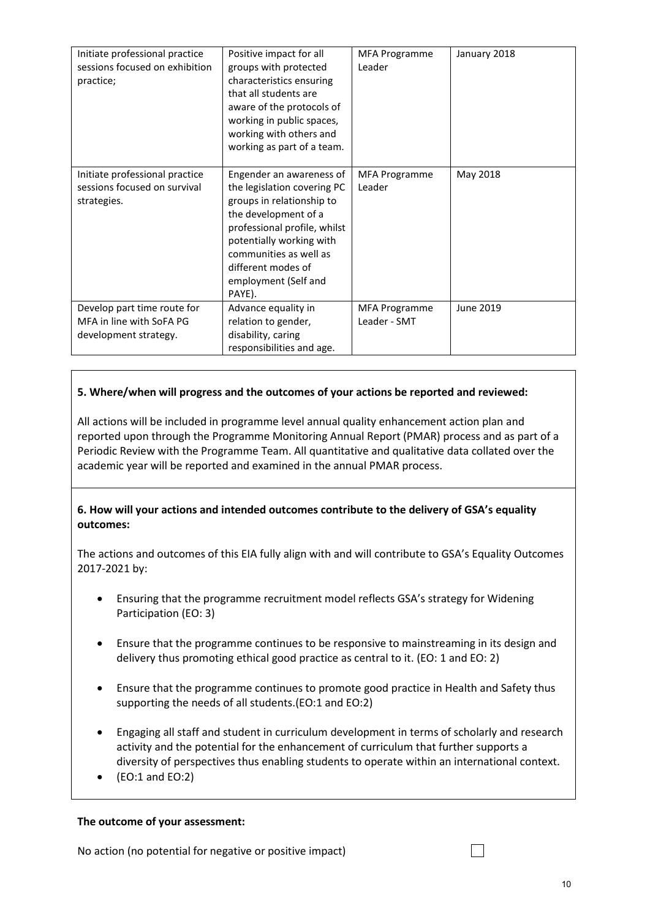| Initiate professional practice<br>sessions focused on exhibition<br>practice;    | Positive impact for all<br>groups with protected<br>characteristics ensuring<br>that all students are<br>aware of the protocols of<br>working in public spaces,<br>working with others and<br>working as part of a team.                                   | <b>MFA Programme</b><br>Leader       | January 2018 |
|----------------------------------------------------------------------------------|------------------------------------------------------------------------------------------------------------------------------------------------------------------------------------------------------------------------------------------------------------|--------------------------------------|--------------|
| Initiate professional practice<br>sessions focused on survival<br>strategies.    | Engender an awareness of<br>the legislation covering PC<br>groups in relationship to<br>the development of a<br>professional profile, whilst<br>potentially working with<br>communities as well as<br>different modes of<br>employment (Self and<br>PAYE). | MFA Programme<br>Leader              | May 2018     |
| Develop part time route for<br>MFA in line with SoFA PG<br>development strategy. | Advance equality in<br>relation to gender,<br>disability, caring<br>responsibilities and age.                                                                                                                                                              | <b>MFA Programme</b><br>Leader - SMT | June 2019    |

#### **5. Where/when will progress and the outcomes of your actions be reported and reviewed:**

All actions will be included in programme level annual quality enhancement action plan and reported upon through the Programme Monitoring Annual Report (PMAR) process and as part of a Periodic Review with the Programme Team. All quantitative and qualitative data collated over the academic year will be reported and examined in the annual PMAR process.

#### **6. How will your actions and intended outcomes contribute to the delivery of GSA's equality outcomes:**

The actions and outcomes of this EIA fully align with and will contribute to GSA's Equality Outcomes 2017-2021 by:

- Ensuring that the programme recruitment model reflects GSA's strategy for Widening Participation (EO: 3)
- Ensure that the programme continues to be responsive to mainstreaming in its design and delivery thus promoting ethical good practice as central to it. (EO: 1 and EO: 2)
- Ensure that the programme continues to promote good practice in Health and Safety thus supporting the needs of all students.(EO:1 and EO:2)
- Engaging all staff and student in curriculum development in terms of scholarly and research activity and the potential for the enhancement of curriculum that further supports a diversity of perspectives thus enabling students to operate within an international context.
- $\bullet$  (EO:1 and EO:2)

#### **The outcome of your assessment:**

No action (no potential for negative or positive impact)

П